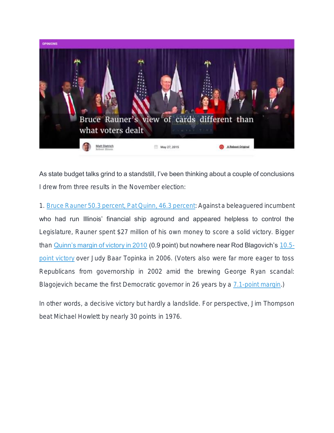

As state budget talks grind to a standstill, I've been thinking about a couple of conclusions I drew from three results in the November election:

1. [Bruce Rauner 50.3 percent, Pat Quinn, 46.3 percent:](http://www.elections.il.gov/ElectionResultsSpecifyRace.aspx?ID=43) Against a beleaguered incumbent who had run Illinois' financial ship aground and appeared helpless to control the Legislature, Rauner spent \$27 million of his own money to score a solid victory. Bigger than [Quinn's margin of victory in 2010](http://www.elections.il.gov/ElectionResultsSpecifyRace.aspx?ID=29) (0.9 point) but nowhere near Rod Blagovich's [10.5](http://www.elections.il.gov/ElectionResultsSpecifyRace.aspx?ID=19) [point victory](http://www.elections.il.gov/ElectionResultsSpecifyRace.aspx?ID=19) over Judy Baar Topinka in 2006. (Voters also were far more eager to toss Republicans from governorship in 2002 amid the brewing George Ryan scandal: Blagojevich became the first Democratic governor in 26 years by a [7.1-point margin.](http://www.elections.il.gov/ElectionResultsSpecifyRace.aspx?ID=13))

In other words, a decisive victory but hardly a landslide. For perspective, Jim Thompson beat Michael Howlett by nearly 30 points in 1976.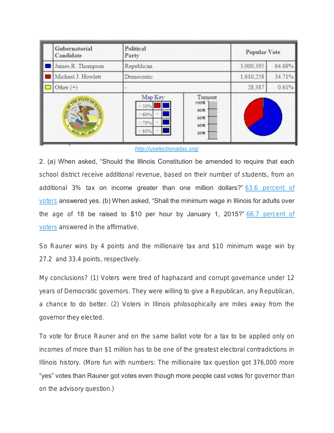| Gubernatorial<br>Candidate | Political<br>Party                  |                                             | Popular Vote |        |
|----------------------------|-------------------------------------|---------------------------------------------|--------------|--------|
| James R. Thompson          | Republican                          |                                             | 3,000.395    | 64.68% |
| Michael J. Howlett         | Democratic                          |                                             | 1.610.258    | 34.71% |
| Other $(+)$                |                                     |                                             | 28.387       | 0.61%  |
| 100-26-19                  | Map Key<br>50%<br>60%<br>70%<br>80% | Turnout<br>100%<br>80%<br>60%<br>40%<br>20% |              |        |

## *<http://uselectionatlas.org/>*

2. (a) When asked, "Should the Illinois Constitution be amended to require that each school district receive additional revenue, based on their number of students, from an additional 3% tax on income greater than one million dollars?" [63.6 percent of](http://www.elections.il.gov/ElectionResultsSpecifyRace.aspx?ID=43)  [voters](http://www.elections.il.gov/ElectionResultsSpecifyRace.aspx?ID=43) answered yes. (b) When asked, "Shall the minimum wage in Illinois for adults over the age of 18 be raised to \$10 per hour by January 1, 2015?" 66.7 percent of [voters](http://www.elections.il.gov/ElectionResultsSpecifyRace.aspx?ID=43) answered in the affirmative.

So Rauner wins by 4 points and the millionaire tax and \$10 minimum wage win by 27.2 and 33.4 points, respectively.

My conclusions? (1) Voters were tired of haphazard and corrupt governance under 12 years of Democratic governors. They were willing to give a Republican, any Republican, a chance to do better. (2) Voters in Illinois philosophically are miles away from the governor they elected.

To vote for Bruce Rauner and on the same ballot vote for a tax to be applied only on incomes of more than \$1 million has to be one of the greatest electoral contradictions in Illinois history. (More fun with numbers: The millionaire tax question got 376,000 more "yes" votes than Rauner got votes even though more people cast votes for governor than on the advisory question.)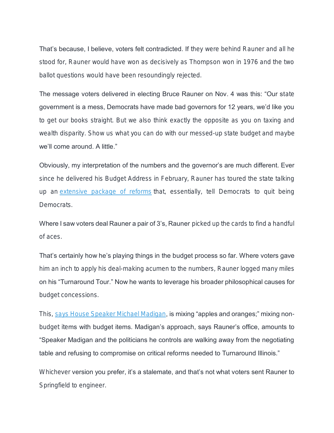**That's because, I believe, voters felt contradicted. If** they were behind Rauner and all he stood for, Rauner would have won as decisively as Thompson won in 1976 and the two ballot questions would have been resoundingly rejected.

The message voters delivered in electing Bruce Rauner on Nov. 4 was this: "Our state government is a mess, Democrats have made bad governors for 12 years, we'd like you to get our books straight. But we also think exactly the opposite as you on taxing and wealth disparity. Show us what you can do with our messed-up state budget and maybe we'll come around. A little."

Obviously, my interpretation of the numbers and the governor's are much different. Ever since he delivered his Budget Address in February, Rauner has toured the state talking up an [extensive package of reforms](https://www2.illinois.gov/gov/Documents/CompiledPacket.pdf) that, essentially, tell Democrats to quit being Democrats.

Where I saw voters deal Rauner a pair of 3's, Rauner picked up the cards to find a handful of aces.

That's certainly how he's playing things in the budget process so far. Where voters gave him an inch to apply his deal-making acumen to the numbers, Rauner logged many miles on his "Turnaround Tour." Now he wants to leverage his broader philosophical causes for budget concessions.

This, [says House Speaker Michael Madigan,](http://www.rebootillinois.com/2015/05/25/editors-picks/mark-fitton/michael-madigan-to-rauner-heres-our-budget-lets-find-3b/38496/) is mixing "apples and oranges;" mixing nonbudget items with budget items. Madigan's approach, says Rauner's office, amounts to "Speaker Madigan and the politicians he controls are walking away from the negotiating table and refusing to compromise on critical reforms needed to Turnaround Illinois."

Whichever version you prefer, it's a stalemate, and that's not what voters sent Rauner to Springfield to engineer.